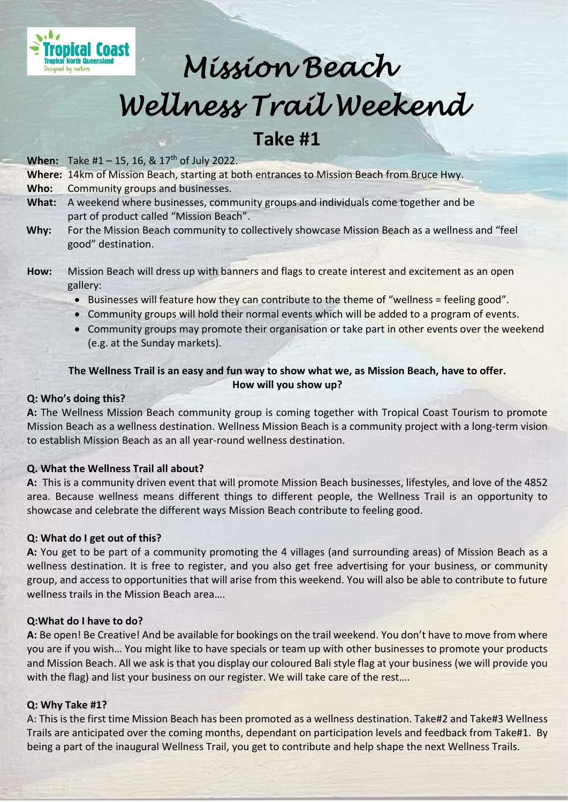

# *Mission Beach Wellness Trail Weekend*

## **Take #1**

**When:** Take #1 – 15, 16, & 17<sup>th</sup> of July 2022.

**Where:** 14km of Mission Beach, starting at both entrances to Mission Beach from Bruce Hwy.

**Who:** Community groups and businesses.

- **What:** A weekend where businesses, community groups and individuals come together and be part of product called "Mission Beach".
- **Why:** For the Mission Beach community to collectively showcase Mission Beach as a wellness and "feel good" destination.
- **How:** Mission Beach will dress up with banners and flags to create interest and excitement as an open gallery:
	- Businesses will feature how they can contribute to the theme of "wellness = feeling good".
	- Community groups will hold their normal events which will be added to a program of events.
	- Community groups may promote their organisation or take part in other events over the weekend (e.g. at the Sunday markets).

#### **The Wellness Trail is an easy and fun way to show what we, as Mission Beach, have to offer. How will you show up?**

#### **Q: Who's doing this?**

**A:** The Wellness Mission Beach community group is coming together with Tropical Coast Tourism to promote Mission Beach as a wellness destination. Wellness Mission Beach is a community project with a long-term vision to establish Mission Beach as an all year-round wellness destination.

#### **Q. What the Wellness Trail all about?**

**A:** This is a community driven event that will promote Mission Beach businesses, lifestyles, and love of the 4852 area. Because wellness means different things to different people, the Wellness Trail is an opportunity to showcase and celebrate the different ways Mission Beach contribute to feeling good.

#### **Q: What do I get out of this?**

**A:** You get to be part of a community promoting the 4 villages (and surrounding areas) of Mission Beach as a wellness destination. It is free to register, and you also get free advertising for your business, or community group, and access to opportunities that will arise from this weekend. You will also be able to contribute to future wellness trails in the Mission Beach area….

#### **Q:What do I have to do?**

**A:** Be open! Be Creative! And be available for bookings on the trail weekend. You don't have to move from where you are if you wish… You might like to have specials or team up with other businesses to promote your products and Mission Beach. All we ask is that you display our coloured Bali style flag at your business (we will provide you with the flag) and list your business on our register. We will take care of the rest....

#### **Q: Why Take #1?**

A: This is the first time Mission Beach has been promoted as a wellness destination. Take#2 and Take#3 Wellness Trails are anticipated over the coming months, dependant on participation levels and feedback from Take#1. By being a part of the inaugural Wellness Trail, you get to contribute and help shape the next Wellness Trails.